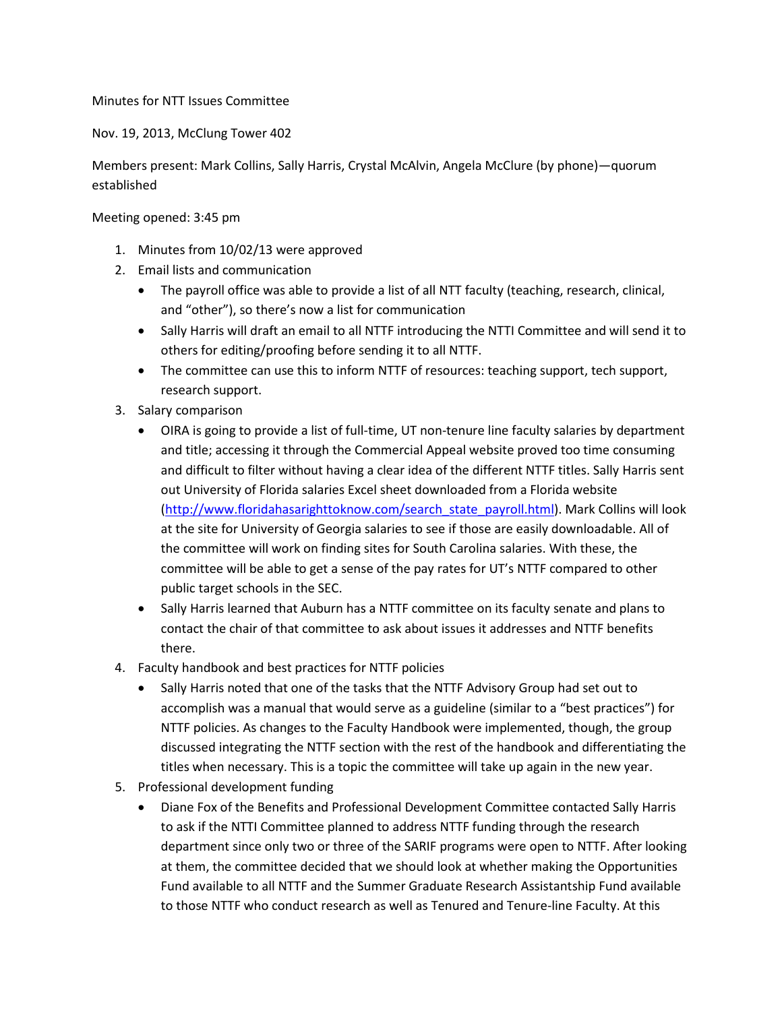Minutes for NTT Issues Committee

Nov. 19, 2013, McClung Tower 402

Members present: Mark Collins, Sally Harris, Crystal McAlvin, Angela McClure (by phone)—quorum established

Meeting opened: 3:45 pm

- 1. Minutes from 10/02/13 were approved
- 2. Email lists and communication
	- The payroll office was able to provide a list of all NTT faculty (teaching, research, clinical, and "other"), so there's now a list for communication
	- Sally Harris will draft an email to all NTTF introducing the NTTI Committee and will send it to others for editing/proofing before sending it to all NTTF.
	- The committee can use this to inform NTTF of resources: teaching support, tech support, research support.
- 3. Salary comparison
	- OIRA is going to provide a list of full-time, UT non-tenure line faculty salaries by department and title; accessing it through the Commercial Appeal website proved too time consuming and difficult to filter without having a clear idea of the different NTTF titles. Sally Harris sent out University of Florida salaries Excel sheet downloaded from a Florida website [\(http://www.floridahasarighttoknow.com/search\\_state\\_payroll.html\)](http://www.floridahasarighttoknow.com/search_state_payroll.html). Mark Collins will look at the site for University of Georgia salaries to see if those are easily downloadable. All of the committee will work on finding sites for South Carolina salaries. With these, the committee will be able to get a sense of the pay rates for UT's NTTF compared to other public target schools in the SEC.
	- Sally Harris learned that Auburn has a NTTF committee on its faculty senate and plans to contact the chair of that committee to ask about issues it addresses and NTTF benefits there.
- 4. Faculty handbook and best practices for NTTF policies
	- Sally Harris noted that one of the tasks that the NTTF Advisory Group had set out to accomplish was a manual that would serve as a guideline (similar to a "best practices") for NTTF policies. As changes to the Faculty Handbook were implemented, though, the group discussed integrating the NTTF section with the rest of the handbook and differentiating the titles when necessary. This is a topic the committee will take up again in the new year.
- 5. Professional development funding
	- Diane Fox of the Benefits and Professional Development Committee contacted Sally Harris to ask if the NTTI Committee planned to address NTTF funding through the research department since only two or three of the SARIF programs were open to NTTF. After looking at them, the committee decided that we should look at whether making the Opportunities Fund available to all NTTF and the Summer Graduate Research Assistantship Fund available to those NTTF who conduct research as well as Tenured and Tenure-line Faculty. At this